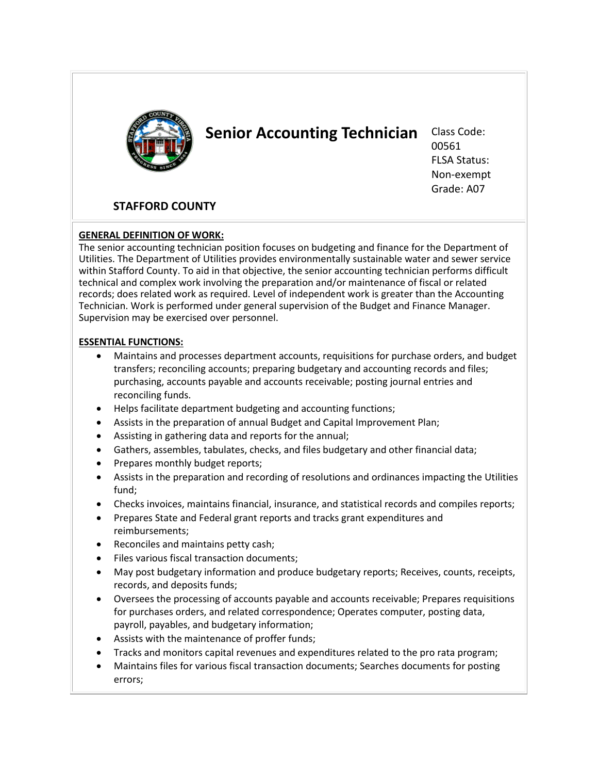

# **Senior Accounting Technician** Class Code:

00561 FLSA Status: Non-exempt Grade: A07

## **STAFFORD COUNTY**

#### **GENERAL DEFINITION OF WORK:**

The senior accounting technician position focuses on budgeting and finance for the Department of Utilities. The Department of Utilities provides environmentally sustainable water and sewer service within Stafford County. To aid in that objective, the senior accounting technician performs difficult technical and complex work involving the preparation and/or maintenance of fiscal or related records; does related work as required. Level of independent work is greater than the Accounting Technician. Work is performed under general supervision of the Budget and Finance Manager. Supervision may be exercised over personnel.

#### **ESSENTIAL FUNCTIONS:**

- Maintains and processes department accounts, requisitions for purchase orders, and budget transfers; reconciling accounts; preparing budgetary and accounting records and files; purchasing, accounts payable and accounts receivable; posting journal entries and reconciling funds.
- Helps facilitate department budgeting and accounting functions;
- Assists in the preparation of annual Budget and Capital Improvement Plan;
- Assisting in gathering data and reports for the annual;
- Gathers, assembles, tabulates, checks, and files budgetary and other financial data;
- Prepares monthly budget reports;
- Assists in the preparation and recording of resolutions and ordinances impacting the Utilities fund;
- Checks invoices, maintains financial, insurance, and statistical records and compiles reports;
- Prepares State and Federal grant reports and tracks grant expenditures and reimbursements;
- Reconciles and maintains petty cash;
- Files various fiscal transaction documents;
- May post budgetary information and produce budgetary reports; Receives, counts, receipts, records, and deposits funds;
- Oversees the processing of accounts payable and accounts receivable; Prepares requisitions for purchases orders, and related correspondence; Operates computer, posting data, payroll, payables, and budgetary information;
- Assists with the maintenance of proffer funds;
- Tracks and monitors capital revenues and expenditures related to the pro rata program;
- Maintains files for various fiscal transaction documents; Searches documents for posting errors;